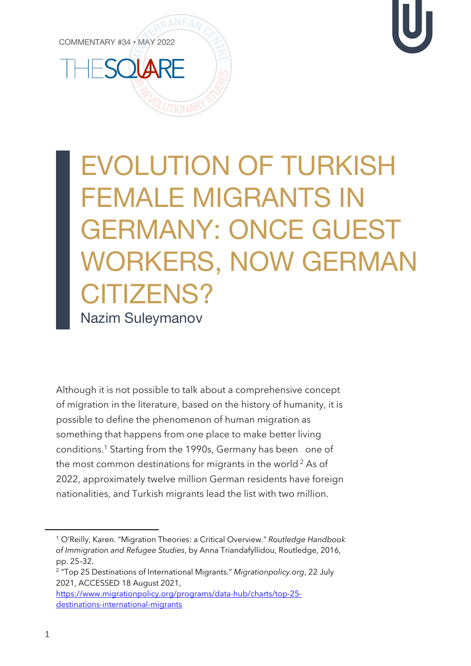COMMENTARY #34 • MAY 2022



## EVOLUTION OF TURKISH FEMALE MIGRANTS IN GERMANY: ONCE GUEST WORKERS, NOW GERMAN CITIZENS? Nazim Suleymanov

Although it is not possible to talk about a comprehensive concept of migration in the literature, based on the history of humanity, it is possible to define the phenomenon of human migration as something that happens from one place to make better living conditions. <sup>1</sup> Starting from the 1990s, Germany has been one of the most common destinations for migrants in the world<sup>2</sup> As of 2022, approximately twelve million German residents have foreign nationalities, and Turkish migrants lead the list with two million.

<sup>1</sup> O'Reilly, Karen. "Migration Theories: a Critical Overview." *Routledge Handbook of Immigration and Refugee Studies*, by Anna Triandafyllidou, Routledge, 2016, pp. 25–32.

<sup>2</sup> "Top 25 Destinations of International Migrants." *Migrationpolicy.org*, 22 July 2021, ACCESSED 18 August 2021,

https://www.migrationpolicy.org/programs/data-hub/charts/top-25 destinations-international-migrants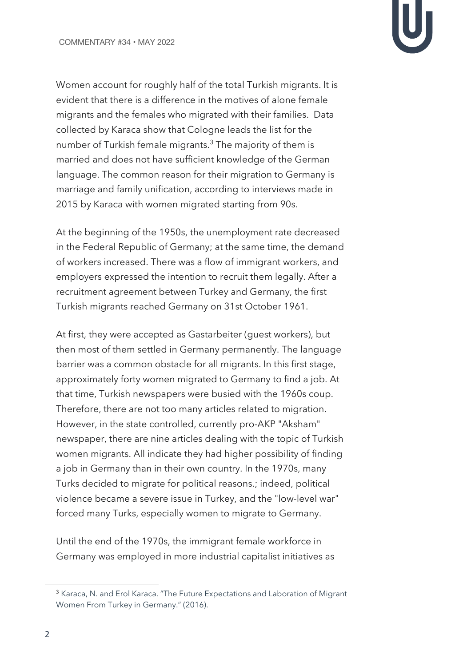Women account for roughly half of the total Turkish migrants. It is evident that there is a difference in the motives of alone female migrants and the females who migrated with their families. Data collected by Karaca show that Cologne leads the list for the number of Turkish female migrants.<sup>3</sup> The majority of them is married and does not have sufficient knowledge of the German language. The common reason for their migration to Germany is marriage and family unification, according to interviews made in 2015 by Karaca with women migrated starting from 90s.

At the beginning of the 1950s, the unemployment rate decreased in the Federal Republic of Germany; at the same time, the demand of workers increased. There was a flow of immigrant workers, and employers expressed the intention to recruit them legally. After a recruitment agreement between Turkey and Germany, the first Turkish migrants reached Germany on 31st October 1961.

At first, they were accepted as Gastarbeiter (guest workers), but then most of them settled in Germany permanently. The language barrier was a common obstacle for all migrants. In this first stage, approximately forty women migrated to Germany to find a job. At that time, Turkish newspapers were busied with the 1960s coup. Therefore, there are not too many articles related to migration. However, in the state controlled, currently pro-AKP "Aksham" newspaper, there are nine articles dealing with the topic of Turkish women migrants. All indicate they had higher possibility of finding a job in Germany than in their own country. In the 1970s, many Turks decided to migrate for political reasons.; indeed, political violence became a severe issue in Turkey, and the "low-level war" forced many Turks, especially women to migrate to Germany.

Until the end of the 1970s, the immigrant female workforce in Germany was employed in more industrial capitalist initiatives as

<sup>3</sup> Karaca, N. and Erol Karaca. "The Future Expectations and Laboration of Migrant Women From Turkey in Germany." (2016).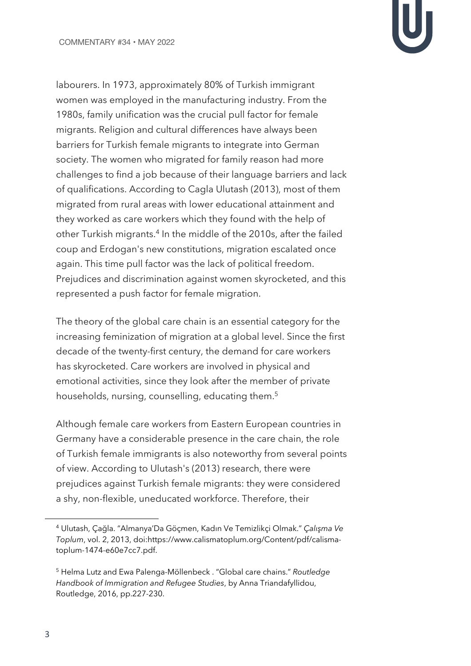labourers. In 1973, approximately 80% of Turkish immigrant women was employed in the manufacturing industry. From the 1980s, family unification was the crucial pull factor for female migrants. Religion and cultural differences have always been barriers for Turkish female migrants to integrate into German society. The women who migrated for family reason had more challenges to find a job because of their language barriers and lack of qualifications. According to Cagla Ulutash (2013), most of them migrated from rural areas with lower educational attainment and they worked as care workers which they found with the help of other Turkish migrants.<sup>4</sup> In the middle of the 2010s, after the failed coup and Erdogan's new constitutions, migration escalated once again. This time pull factor was the lack of political freedom. Prejudices and discrimination against women skyrocketed, and this represented a push factor for female migration.

The theory of the global care chain is an essential category for the increasing feminization of migration at a global level. Since the first decade of the twenty-first century, the demand for care workers has skyrocketed. Care workers are involved in physical and emotional activities, since they look after the member of private households, nursing, counselling, educating them.<sup>5</sup>

Although female care workers from Eastern European countries in Germany have a considerable presence in the care chain, the role of Turkish female immigrants is also noteworthy from several points of view. According to Ulutash's (2013) research, there were prejudices against Turkish female migrants: they were considered a shy, non-flexible, uneducated workforce. Therefore, their

<sup>4</sup> Ulutash, Çağla. "Almanya'Da Göçmen, Kadın Ve Temizlikçi Olmak." *Çalışma Ve Toplum*, vol. 2, 2013, doi:https://www.calismatoplum.org/Content/pdf/calismatoplum-1474-e60e7cc7.pdf.

<sup>5</sup> Helma Lutz and Ewa Palenga-Möllenbeck . "Global care chains." *Routledge Handbook of Immigration and Refugee Studies*, by Anna Triandafyllidou, Routledge, 2016, pp.227-230.